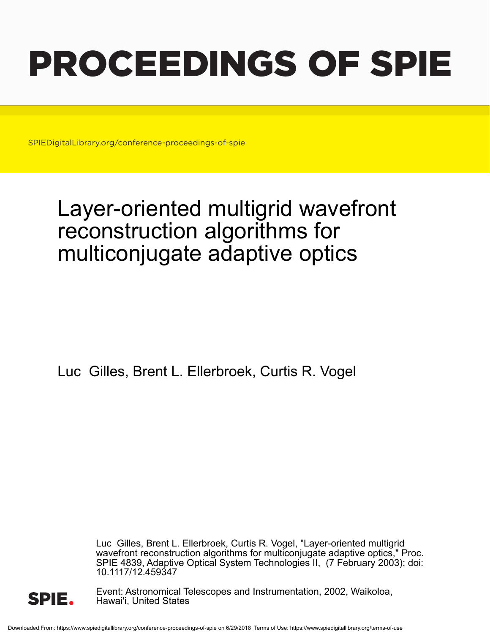# PROCEEDINGS OF SPIE

SPIEDigitalLibrary.org/conference-proceedings-of-spie

## Layer-oriented multigrid wavefront reconstruction algorithms for multiconjugate adaptive optics

Luc Gilles, Brent L. Ellerbroek, Curtis R. Vogel

Luc Gilles, Brent L. Ellerbroek, Curtis R. Vogel, "Layer-oriented multigrid wavefront reconstruction algorithms for multiconjugate adaptive optics," Proc. SPIE 4839, Adaptive Optical System Technologies II, (7 February 2003); doi: 10.1117/12.459347



Event: Astronomical Telescopes and Instrumentation, 2002, Waikoloa, Hawai'i, United States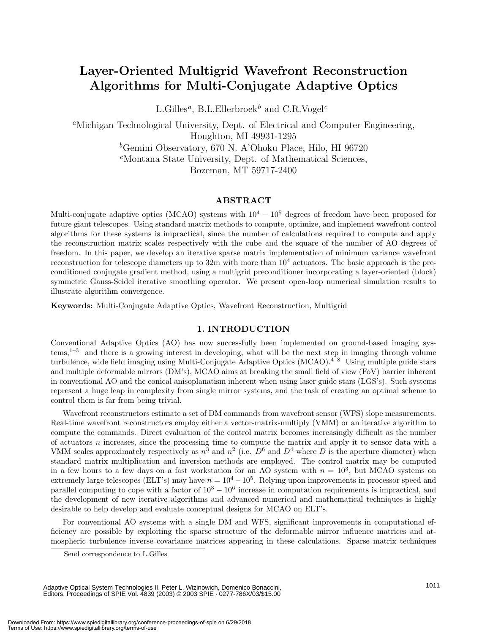### **Layer-Oriented Multigrid Wavefront Reconstruction Algorithms for Multi-Conjugate Adaptive Optics**

L.Gilles*a*, B.L.Ellerbroek*<sup>b</sup>* and C.R.Vogel*<sup>c</sup>*

*<sup>a</sup>*Michigan Technological University, Dept. of Electrical and Computer Engineering, Houghton, MI 49931-1295 *<sup>b</sup>*Gemini Observatory, 670 N. A'Ohoku Place, Hilo, HI 96720 *<sup>c</sup>*Montana State University, Dept. of Mathematical Sciences, Bozeman, MT 59717-2400

#### **ABSTRACT**

Multi-conjugate adaptive optics (MCAO) systems with  $10^4 - 10^5$  degrees of freedom have been proposed for future giant telescopes.Using standard matrix methods to compute, optimize, and implement wavefront control algorithms for these systems is impractical, since the number of calculations required to compute and apply the reconstruction matrix scales respectively with the cube and the square of the number of AO degrees of freedom.In this paper, we develop an iterative sparse matrix implementation of minimum variance wavefront reconstruction for telescope diameters up to  $32m$  with more than  $10<sup>4</sup>$  actuators. The basic approach is the preconditioned conjugate gradient method, using a multigrid preconditioner incorporating a layer-oriented (block) symmetric Gauss-Seidel iterative smoothing operator. We present open-loop numerical simulation results to illustrate algorithm convergence.

**Keywords:** Multi-Conjugate Adaptive Optics, Wavefront Reconstruction, Multigrid

#### **1. INTRODUCTION**

Conventional Adaptive Optics (AO) has now successfully been implemented on ground-based imaging sys $tems$ ,<sup>1–3</sup> and there is a growing interest in developing, what will be the next step in imaging through volume turbulence, wide field imaging using Multi-Conjugate Adaptive Optics  $(MCAO)$ <sup>4–8</sup> Using multiple guide stars and multiple deformable mirrors (DM's), MCAO aims at breaking the small field of view (FoV) barrier inherent in conventional AO and the conical anisoplanatism inherent when using laser guide stars (LGS's). Such systems represent a huge leap in complexity from single mirror systems, and the task of creating an optimal scheme to control them is far from being trivial.

Wavefront reconstructors estimate a set of DM commands from wavefront sensor (WFS) slope measurements. Real-time wavefront reconstructors employ either a vector-matrix-multiply (VMM) or an iterative algorithm to compute the commands.Direct evaluation of the control matrix becomes increasingly difficult as the number of actuators n increases, since the processing time to compute the matrix and apply it to sensor data with a VMM scales approximately respectively as  $n^3$  and  $n^2$  (i.e.  $D^6$  and  $D^4$  where D is the aperture diameter) when standard matrix multiplication and inversion methods are employed. The control matrix may be computed in a few hours to a few days on a fast workstation for an AO system with  $n = 10<sup>3</sup>$ , but MCAO systems on extremely large telescopes (ELT's) may have  $n = 10^4 - 10^5$ . Relying upon improvements in processor speed and parallel computing to cope with a factor of  $10^3 - 10^6$  increase in computation requirements is impractical, and the development of new iterative algorithms and advanced numerical and mathematical techniques is highly desirable to help develop and evaluate conceptual designs for MCAO on ELT's.

For conventional AO systems with a single DM and WFS, significant improvements in computational efficiency are possible by exploiting the sparse structure of the deformable mirror influence matrices and atmospheric turbulence inverse covariance matrices appearing in these calculations. Sparse matrix techniques

Adaptive Optical System Technologies II, Peter L. Wizinowich, Domenico Bonaccini, Editors, Proceedings of SPIE Vol. 4839 (2003) © 2003 SPIE · 0277-786X/03/\$15.00

Send correspondence to L.Gilles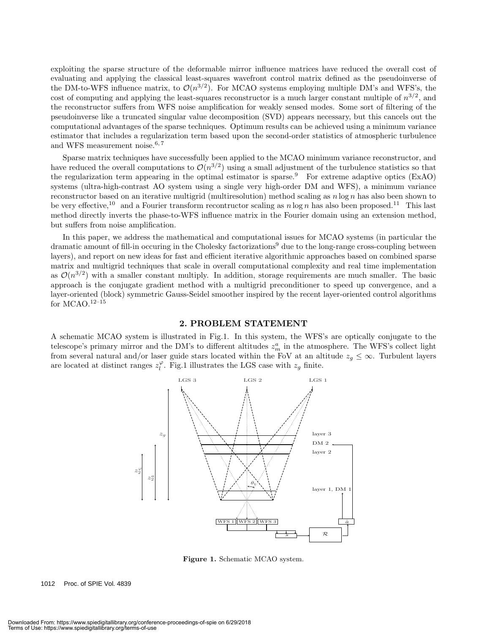exploiting the sparse structure of the deformable mirror influence matrices have reduced the overall cost of evaluating and applying the classical least-squares wavefront control matrix defined as the pseudoinverse of the DM-to-WFS influence matrix, to  $\mathcal{O}(n^{3/2})$ . For MCAO systems employing multiple DM's and WFS's, the cost of computing and applying the least-squares reconstructor is a much larger constant multiple of  $n^{3/2}$ , and the reconstructor suffers from WFS noise amplification for weakly sensed modes. Some sort of filtering of the pseudoinverse like a truncated singular value decomposition (SVD) appears necessary, but this cancels out the computational advantages of the sparse techniques.Optimum results can be achieved using a minimum variance estimator that includes a regularization term based upon the second-order statistics of atmospheric turbulence and WFS measurement noise. $6, 7$ 

Sparse matrix techniques have successfully been applied to the MCAO minimum variance reconstructor, and have reduced the overall computations to  $\mathcal{O}(n^{3/2})$  using a small adjustment of the turbulence statistics so that the regularization term appearing in the optimal estimator is sparse.<sup>9</sup> For extreme adaptive optics (ExAO) systems (ultra-high-contrast AO system using a single very high-order DM and WFS), a minimum variance reconstructor based on an iterative multigrid (multiresolution) method scaling as  $n \log n$  has also been shown to be very effective,<sup>10</sup> and a Fourier transform recontructor scaling as  $n \log n$  has also been proposed.<sup>11</sup> This last method directly inverts the phase-to-WFS influence matrix in the Fourier domain using an extension method, but suffers from noise amplification.

In this paper, we address the mathematical and computational issues for MCAO systems (in particular the dramatic amount of fill-in occuring in the Cholesky factorizations<sup>9</sup> due to the long-range cross-coupling between layers), and report on new ideas for fast and efficient iterative algorithmic approaches based on combined sparse matrix and multigrid techniques that scale in overall computational complexity and real time implementation as  $\mathcal{O}(n^{3/2})$  with a smaller constant multiply. In addition, storage requirements are much smaller. The basic approach is the conjugate gradient method with a multigrid preconditioner to speed up convergence, and a layer-oriented (block) symmetric Gauss-Seidel smoother inspired by the recent layer-oriented control algorithms for MCAO. $12-15$ 

#### **2. PROBLEM STATEMENT**

A schematic MCAO system is illustrated in Fig.1. In this system, the WFS's are optically conjugate to the telescope's primary mirror and the DM's to different altitudes  $z_m^a$  in the atmosphere. The WFS's collect light<br>from soveral natural and/or laser suide stars located within the EeV at an altitude  $z \leq \infty$ . Turbulent lay from several natural and/or laser guide stars located within the FoV at an altitude  $z_g \leq \infty$ . Turbulent layers are located at distinct ranges  $z_l^{\varphi}$ . Fig.1 illustrates the LGS case with  $z_g$  finite.



**Figure 1.** Schematic MCAO system.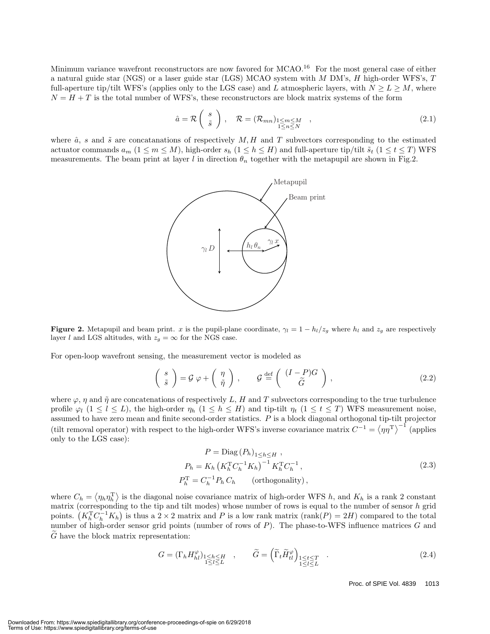Minimum variance wavefront reconstructors are now favored for MCAO.<sup>16</sup> For the most general case of either a natural guide star (NGS) or a laser guide star (LGS) MCAO system with M DM's, H high-order WFS's, T full-aperture tip/tilt WFS's (applies only to the LGS case) and L atmospheric layers, with  $N \ge L \ge M$ , where  $N = H + T$  is the total number of WFS's, these reconstructors are block matrix systems of the form

$$
\hat{a} = \mathcal{R}\begin{pmatrix} s \\ \tilde{s} \end{pmatrix}, \quad \mathcal{R} = (\mathcal{R}_{mn})_{\substack{1 \le m \le M \\ 1 \le n \le N}} \quad , \tag{2.1}
$$

where  $\hat{a}$ , s and  $\tilde{s}$  are concatanations of respectively M, H and T subvectors corresponding to the estimated actuator commands  $a_m$   $(1 \leq m \leq M)$ , high-order  $s_h$   $(1 \leq h \leq H)$  and full-aperture tip/tilt  $\tilde{s}_t$   $(1 \leq t \leq T)$  WFS measurements. The beam print at layer l in direction  $\theta_n$  together with the metapupil are shown in Fig.2.



**Figure 2.** Metapupil and beam print. x is the pupil-plane coordinate,  $\gamma_l = 1 - h_l/z_g$  where  $h_l$  and  $z_g$  are respectively layer *l* and LGS altitudes, with  $z_g = \infty$  for the NGS case.

For open-loop wavefront sensing, the measurement vector is modeled as

$$
\begin{pmatrix} s \\ \tilde{s} \end{pmatrix} = \mathcal{G} \varphi + \begin{pmatrix} \eta \\ \tilde{\eta} \end{pmatrix}, \qquad \mathcal{G} \stackrel{\text{def}}{=} \begin{pmatrix} (I - P)G \\ \tilde{G} \end{pmatrix}, \tag{2.2}
$$

where  $\varphi$ ,  $\eta$  and  $\tilde{\eta}$  are concatenations of respectively L, H and T subvectors corresponding to the true turbulence profile  $\varphi_l$  (1  $\leq l \leq L$ ), the high-order  $\eta_h$  (1  $\leq h \leq H$ ) and tip-tilt  $\eta_t$  (1  $\leq t \leq T$ ) WFS measurement noise, assumed to have zero mean and finite second-order statistics. P is a block diagonal orthogonal tip-tilt projector (tilt removal operator) with respect to the high-order WFS's inverse covariance matrix  $C^{-1} = \langle \eta \eta^T \rangle^{-1}$  (applies only to the LGS case):

$$
P = \text{Diag}(P_h)_{1 \le h \le H},
$$
  
\n
$$
P_h = K_h \left( K_h^{\text{T}} C_h^{-1} K_h \right)^{-1} K_h^{\text{T}} C_h^{-1},
$$
  
\n
$$
P_h^{\text{T}} = C_h^{-1} P_h C_h \qquad \text{(orthogonality)},
$$
\n(2.3)

where  $C_h = \langle \eta_h \eta_h^T \rangle$  is the diagonal noise covariance matrix of high-order WFS h, and  $K_h$  is a rank 2 constant matrix (corresponding to the tip and tilt modes) whose number of rows is equal to the number of sensor h grid points.  $(K_h^T C_h^{-1} K_h)$  is thus a 2 × 2 matrix and P is a low rank matrix (rank(P) = 2H) compared to the total<br>number of bigh-order sensor grid points (number of rows of P). The phase-to-WFS influence matrices C and number of high-order sensor grid points (number of rows of  $P$ ). The phase-to-WFS influence matrices  $G$  and <sup>G</sup> have the block matrix representation:

$$
G = (\Gamma_h H_{hl}^{\varphi})_{\substack{1 \le h \le H \\ 1 \le l \le L}} , \qquad \widetilde{G} = \left( \widetilde{\Gamma}_t \widetilde{H}_{tl}^{\varphi} \right)_{\substack{1 \le t \le T \\ 1 \le l \le L}} . \tag{2.4}
$$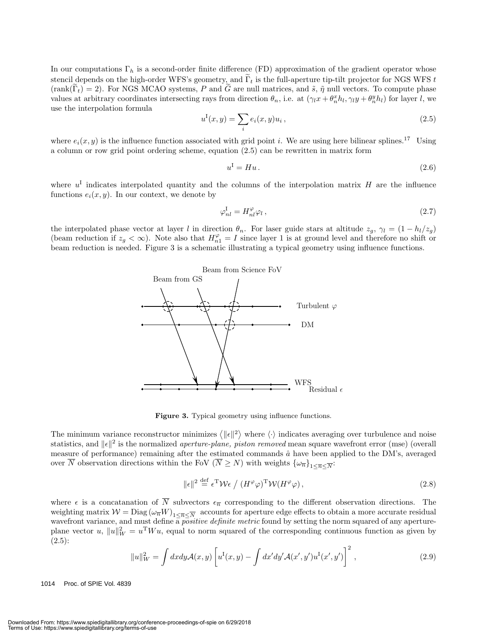In our computations  $\Gamma_h$  is a second-order finite difference (FD) approximation of the gradient operator whose stencil depends on the high-order WFS's geometry, and  $\tilde{\Gamma}_t$  is the full-aperture tip-tilt projector for NGS WFS t  $(\text{rank}(\tilde{\Gamma}_t) = 2)$ . For NGS MCAO systems, P and  $\tilde{G}$  are null matrices, and  $\tilde{s}$ ,  $\tilde{\eta}$  null vectors. To compute phase values at arbitrary coordinates intersecting rays from direction  $\theta_n$ , i.e. at  $(\gamma_l x + \theta_n^x h_l, \gamma_l y + \theta_n^y h_l)$  for layer l, we use the interpolation formula

$$
u^{I}(x, y) = \sum_{i} e_{i}(x, y)u_{i}, \qquad (2.5)
$$

where  $e_i(x, y)$  is the influence function associated with grid point *i*. We are using here bilinear splines.<sup>17</sup> Using a column or row grid point ordering scheme, equation (2.5) can be rewritten in matrix form

$$
u^{\mathcal{I}} = Hu. \tag{2.6}
$$

where  $u<sup>I</sup>$  indicates interpolated quantity and the columns of the interpolation matrix H are the influence functions  $e_i(x, y)$ . In our context, we denote by

$$
\varphi_{nl}^{\text{I}} = H_{nl}^{\varphi} \varphi_l \,, \tag{2.7}
$$

the interpolated phase vector at layer l in direction  $\theta_n$ . For laser guide stars at altitude  $z_q$ ,  $\gamma_l = (1 - h_l/z_q)$ (beam reduction if  $z_g < \infty$ ). Note also that  $H_{n_1}^{\varphi} = I$  since layer 1 is at ground level and therefore no shift or beam reduction is needed.Figure 3 is a schematic illustrating a typical geometry using influence functions.



**Figure 3.** Typical geometry using influence functions.

The minimum variance reconstructor minimizes  $\langle ||\epsilon||^2 \rangle$  where  $\langle \cdot \rangle$  indicates averaging over turbulence and noise statistics, and  $\|\epsilon\|^2$  is the normalized *aperture-plane, piston removed* mean square wavefront error (mse) (overall measure of performance) remaining after the estimated commands  $\hat{a}$  have been applied to the DM's, averaged over  $\overline{N}$  observation directions within the FoV  $(\overline{N} \geq N)$  with weights  $\{\omega_{\overline{n}}\}_{1 \leq \overline{n} \leq \overline{N}}$ :

$$
\|\epsilon\|^2 \stackrel{\text{def}}{=} \epsilon^{\text{T}} \mathcal{W}\epsilon \big/ \left( H^{\varphi} \varphi \right)^{\text{T}} \mathcal{W}(H^{\varphi} \varphi) \,, \tag{2.8}
$$

where  $\epsilon$  is a concatanation of  $\overline{N}$  subvectors  $\epsilon_{\overline{n}}$  corresponding to the different observation directions. The weighting matrix  $W = \text{Diag}(\omega_{\overline{n}}W)_{1 \leq \overline{n} \leq \overline{N}}$  accounts for aperture edge effects to obtain a more accurate residual wavefront variance, and must define a *positive definite metric* found by setting the norm squared of any apertureplane vector u,  $||u||_W^2 = u^T W u$ , equal to norm squared of the corresponding continuous function as given by (2.5):

$$
||u||_W^2 = \int dx dy \mathcal{A}(x, y) \left[ u^{\mathrm{I}}(x, y) - \int dx' dy' \mathcal{A}(x', y') u^{\mathrm{I}}(x', y') \right]^2, \qquad (2.9)
$$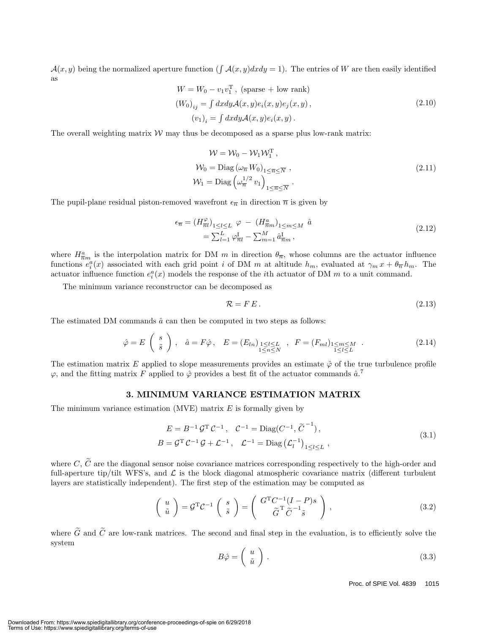$\mathcal{A}(x, y)$  being the normalized aperture function (  $\int \mathcal{A}(x, y) dx dy = 1$ ). The entries of W are then easily identified as

$$
W = W_0 - v_1 v_1^{\mathrm{T}}, \text{ (sparse + low rank)}
$$
  
\n
$$
(W_0)_{ij} = \int dx dy \mathcal{A}(x, y) e_i(x, y) e_j(x, y),
$$
  
\n
$$
(v_1)_i = \int dx dy \mathcal{A}(x, y) e_i(x, y).
$$
\n(2.10)

The overall weighting matrix  $W$  may thus be decomposed as a sparse plus low-rank matrix:

$$
\mathcal{W} = \mathcal{W}_0 - \mathcal{W}_1 \mathcal{W}_1^T,
$$
  
\n
$$
\mathcal{W}_0 = \text{Diag} \left( \omega_{\overline{n}} W_0 \right)_{1 \leq \overline{n} \leq \overline{N}},
$$
  
\n
$$
\mathcal{W}_1 = \text{Diag} \left( \omega_{\overline{n}}^{1/2} v_1 \right)_{1 \leq \overline{n} \leq \overline{N}}.
$$
\n(2.11)

The pupil-plane residual piston-removed wavefront  $\epsilon_{\overline{n}}$  in direction  $\overline{n}$  is given by

$$
\epsilon_{\overline{n}} = \left(H_{\overline{n}}^{\varphi}\right)_{1 \le l \le L} \varphi - \left(H_{\overline{n}m}^{a}\right)_{1 \le m \le M} \hat{a}
$$
\n
$$
= \sum_{l=1}^{L} \varphi_{\overline{n}l}^{l} - \sum_{m=1}^{M} \hat{a}_{\overline{n}m}^{l}, \qquad (2.12)
$$

where  $H_{\overline{n}}^a$  is the interpolation matrix for DM m in direction  $\theta_{\overline{n}}$ , whose columns are the actuator influence<br>functions  $e^a(x)$  associated with each grid point i of DM m at altitude h avaluated at  $\alpha$ ,  $x + \theta_{\$ functions  $e_i^a(x)$  associated with each grid point i of DM m at altitude  $h_m$ , evaluated at  $\gamma_m x + \theta_{\overline{n}} h_m$ . The actuator influence function  $e_i^a(x)$  models the response of the ith actuator of DM m to a unit command actuator influence function  $e_i^a(x)$  models the response of the *i*th actuator of DM m to a unit command.

The minimum variance reconstructor can be decomposed as

$$
\mathcal{R} = F E. \tag{2.13}
$$

The estimated DM commands  $\hat{a}$  can then be computed in two steps as follows:

$$
\hat{\varphi} = E\left(\begin{array}{c} s\\ \tilde{s} \end{array}\right), \quad \hat{a} = F\hat{\varphi}, \quad E = (E_{ln})_{\substack{1 \le l \le L\\ 1 \le n \le N}} \quad , \quad F = (F_{ml})_{\substack{1 \le m \le M\\ 1 \le l \le L}} \quad . \tag{2.14}
$$

The estimation matrix E applied to slope measurements provides an estimate  $\hat{\varphi}$  of the true turbulence profile  $\varphi$ , and the fitting matrix F applied to  $\hat{\varphi}$  provides a best fit of the actuator commands  $\hat{a}$ .

#### **3. MINIMUM VARIANCE ESTIMATION MATRIX**

The minimum variance estimation (MVE) matrix  $E$  is formally given by

$$
E = B^{-1} \mathcal{G}^{T} \mathcal{C}^{-1}, \quad \mathcal{C}^{-1} = \text{Diag}(C^{-1}, \tilde{C}^{-1}),
$$
  
\n
$$
B = \mathcal{G}^{T} \mathcal{C}^{-1} \mathcal{G} + \mathcal{L}^{-1}, \quad \mathcal{L}^{-1} = \text{Diag}(\mathcal{L}_{l}^{-1})_{1 \leq l \leq L},
$$
\n(3.1)

where  $C, \tilde{C}$  are the diagonal sensor noise covariance matrices corresponding respectively to the high-order and full-aperture tip/tilt WFS's, and  $\mathcal L$  is the block diagonal atmospheric covariance matrix (different turbulent layers are statistically independent). The first step of the estimation may be computed as

$$
\begin{pmatrix} u \\ \tilde{u} \end{pmatrix} = \mathcal{G}^{\mathrm{T}} \mathcal{C}^{-1} \begin{pmatrix} s \\ \tilde{s} \end{pmatrix} = \begin{pmatrix} G^{\mathrm{T}} C^{-1} (I - P) s \\ \tilde{G}^{\mathrm{T}} \tilde{C}^{-1} \tilde{s} \end{pmatrix},
$$
\n(3.2)

where  $\tilde{G}$  and  $\tilde{C}$  are low-rank matrices. The second and final step in the evaluation, is to efficiently solve the system

$$
B\hat{\varphi} = \left(\begin{array}{c} u \\ \tilde{u} \end{array}\right). \tag{3.3}
$$

Proc. of SPIE Vol. 4839 1015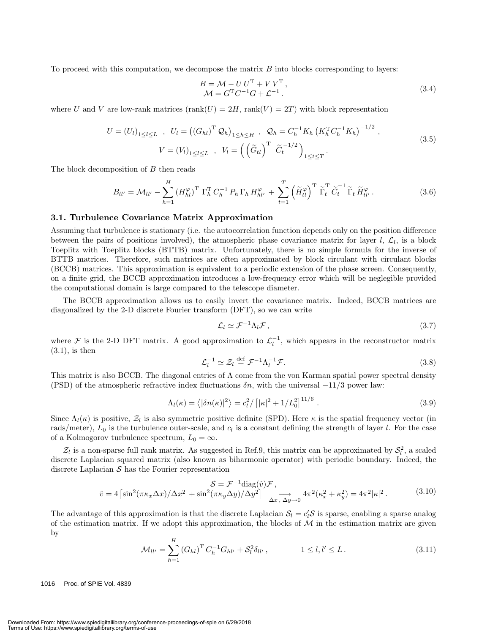To proceed with this computation, we decompose the matrix  $B$  into blocks corresponding to layers:

$$
B = \mathcal{M} - U U^{\mathrm{T}} + V V^{\mathrm{T}},
$$
  
\n
$$
\mathcal{M} = G^{\mathrm{T}} C^{-1} G + \mathcal{L}^{-1}.
$$
\n(3.4)

where U and V are low-rank matrices  $(\text{rank}(U)=2H, \text{rank}(V)={2T})$  with block representation

$$
U = (U_l)_{1 \le l \le L} , U_l = ((G_{hl})^T \mathcal{Q}_h)_{1 \le h \le H} , \mathcal{Q}_h = C_h^{-1} K_h (K_h^T C_h^{-1} K_h)^{-1/2} ,
$$
  

$$
V = (V_l)_{1 \le l \le L} , V_l = ((\tilde{G}_{tl})^T \tilde{C}_t^{-1/2})_{1 \le t \le T} .
$$
 (3.5)

The block decomposition of B then reads

$$
B_{ll'} = \mathcal{M}_{ll'} - \sum_{h=1}^{H} \left( H_{hl}^{\varphi} \right)^{\mathrm{T}} \Gamma_h^{\mathrm{T}} C_h^{-1} P_h \Gamma_h H_{hl'}^{\varphi} + \sum_{t=1}^{T} \left( \widetilde{H}_{tl}^{\varphi} \right)^{\mathrm{T}} \widetilde{\Gamma}_t^{\mathrm{T}} \widetilde{C}_t^{-1} \widetilde{\Gamma}_t \widetilde{H}_{tl'}^{\varphi}.
$$
 (3.6)

#### **3.1. Turbulence Covariance Matrix Approximation**

Assuming that turbulence is stationary (i.e. the autocorrelation function depends only on the position difference between the pairs of positions involved), the atmospheric phase covariance matrix for layer  $l, \mathcal{L}_l$ , is a block Toeplitz with Toeplitz blocks (BTTB) matrix.Unfortunately, there is no simple formula for the inverse of BTTB matrices.Therefore, such matrices are often approximated by block circulant with circulant blocks (BCCB) matrices.This approximation is equivalent to a periodic extension of the phase screen.Consequently, on a finite grid, the BCCB approximation introduces a low-frequency error which will be neglegible provided the computational domain is large compared to the telescope diameter.

The BCCB approximation allows us to easily invert the covariance matrix.Indeed, BCCB matrices are diagonalized by the 2-D discrete Fourier transform (DFT), so we can write

$$
\mathcal{L}_l \simeq \mathcal{F}^{-1} \Lambda_l \mathcal{F},\tag{3.7}
$$

where F is the 2-D DFT matrix. A good approximation to  $\mathcal{L}_l^{-1}$ , which appears in the reconstructor matrix (3.1) is then  $(3.1)$ , is then

$$
\mathcal{L}_l^{-1} \simeq \mathcal{Z}_l \stackrel{\text{def}}{=} \mathcal{F}^{-1} \Lambda_l^{-1} \mathcal{F}.\tag{3.8}
$$

This matrix is also BCCB. The diagonal entries of  $\Lambda$  come from the von Karman spatial power spectral density (PSD) of the atmospheric refractive index fluctuations  $\delta n$ , with the universal  $-11/3$  power law:

$$
\Lambda_l(\kappa) = \langle |\delta n(\kappa)|^2 \rangle = c_l^2 / \left[ |\kappa|^2 + 1/L_0^2 \right]^{11/6} . \tag{3.9}
$$

Since  $\Lambda_l(\kappa)$  is positive,  $\mathcal{Z}_l$  is also symmetric positive definite (SPD). Here  $\kappa$  is the spatial frequency vector (in rads/meter),  $L_0$  is the turbulence outer-scale, and  $c_l$  is a constant defining the strength of layer l. For the case of a Kolmogorov turbulence spectrum,  $L_0 = \infty$ .

 $Z_l$  is a non-sparse full rank matrix. As suggested in Ref.9, this matrix can be approximated by  $S_l^2$ , a scaled the vector Laplacian squared matrix (also known as biharmonic operator) with periodic boundary. Indeed, the discrete Laplacian squared matrix (also known as biharmonic operator) with periodic boundary. Indeed, the discrete Laplacian  $S$  has the Fourier representation

$$
\mathcal{S} = \mathcal{F}^{-1} \text{diag}(\hat{v}) \mathcal{F},
$$
  
\n
$$
\hat{v} = 4 \left[ \sin^2(\pi \kappa_x \Delta x) / \Delta x^2 + \sin^2(\pi \kappa_y \Delta y) / \Delta y^2 \right] \xrightarrow[\Delta x, \Delta y \to 0]{} 4\pi^2 (\kappa_x^2 + \kappa_y^2) = 4\pi^2 |\kappa|^2.
$$
 (3.10)

The advantage of this approximation is that the discrete Laplacian  $S_l = c_l' S$  is sparse, enabling a sparse analog of the estimation matrix. If we adopt this approximation, the blocks of  $M$  in the estimation matrix are giv of the estimation matrix. If we adopt this approximation, the blocks of  $\mathcal M$  in the estimation matrix are given by

$$
\mathcal{M}_{ll'} = \sum_{h=1}^{H} \left( G_{hl} \right)^{\mathrm{T}} C_h^{-1} G_{hl'} + \mathcal{S}_l^2 \delta_{ll'}, \qquad 1 \le l, l' \le L. \tag{3.11}
$$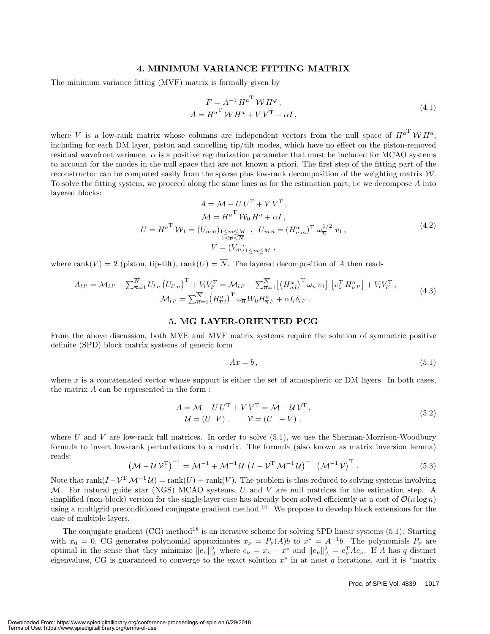#### **4. MINIMUM VARIANCE FITTING MATRIX**

The minimum variance fitting (MVF) matrix is formally given by

$$
F = A^{-1} H^{a^{\mathrm{T}}} W H^{\varphi},
$$
  
\n
$$
A = H^{a^{\mathrm{T}}} W H^{a} + V V^{\mathrm{T}} + \alpha I,
$$
\n(4.1)

where V is a low-rank matrix whose columns are independent vectors from the null space of  $H^{a^T} W H^a$ including for each DM layer, piston and cancelling tip/tilt modes, which have no effect on the piston-removed residual wavefront variance.  $\alpha$  is a positive regularization parameter that must be included for MCAO systems to account for the modes in the null space that are not known a priori. The first step of the fitting part of the reconstructor can be computed easily from the sparse plus low-rank decomposition of the weighting matrix W. To solve the fitting system, we proceed along the same lines as for the estimation part, i.e we decompose A into layered blocks:

$$
A = \mathcal{M} - U U^{T} + V V^{T},
$$
  
\n
$$
\mathcal{M} = H^{a^{T}} \mathcal{W}_{0} H^{a} + \alpha I,
$$
  
\n
$$
U = H^{a^{T}} \mathcal{W}_{1} = (U_{m \overline{n}})_{1 \le m \le M \atop 1 \le \overline{n} \le N}, \quad U_{m \overline{n}} = (H^{a}_{\overline{n} m})^{T} \omega_{\overline{n}}^{1/2} v_{1},
$$
  
\n
$$
V = (V_{m})_{1 \le m \le M},
$$
\n(4.2)

where rank $(V) = 2$  (piston, tip-tilt), rank $(U) = \overline{N}$ . The layered decomposition of A then reads

$$
A_{l\,l'} = \mathcal{M}_{l\,l'} - \sum_{\overline{n}=1}^{\overline{N}} U_{l\,\overline{n}} \left( U_{l'\,\overline{n}} \right)^{\mathrm{T}} + V_l V_{l'}^{\mathrm{T}} = \mathcal{M}_{l\,l'} - \sum_{\overline{n}=1}^{\overline{N}} \left[ \left( H_{\overline{n}\,l}^a \right)^{\mathrm{T}} \omega_{\overline{n}} \, v_1 \right] \left[ v_1^{\mathrm{T}} \, H_{\overline{n}\,l'}^a \right] + V_l V_{l'}^{\mathrm{T}},
$$
\n
$$
\mathcal{M}_{l\,l'} = \sum_{\overline{n}=1}^{\overline{N}} \left( H_{\overline{n}\,l}^a \right)^{\mathrm{T}} \omega_{\overline{n}} \, W_0 H_{\overline{n}\,l'}^a + \alpha I_l \delta_{l\,l'}.
$$
\n
$$
(4.3)
$$

#### **5. MG LAYER-ORIENTED PCG**

From the above discussion, both MVE and MVF matrix systems require the solution of symmetric positive definite (SPD) block matrix systems of generic form

$$
Ax = b,\tag{5.1}
$$

where x is a concatenated vector whose support is either the set of atmospheric or DM layers. In both cases, the matrix A can be represented in the form :

$$
A = \mathcal{M} - U U^{\mathrm{T}} + V V^{\mathrm{T}} = \mathcal{M} - \mathcal{U} V^{\mathrm{T}},
$$
  
\n
$$
\mathcal{U} = (U \ V), \qquad \mathcal{V} = (U \ -V).
$$
\n(5.2)

where U and V are low-rank full matrices. In order to solve  $(5.1)$ , we use the Sherman-Morrison-Woodbury formula to invert low-rank perturbations to a matrix. The formula (also known as matrix inversion lemma) reads:

$$
\left(\mathcal{M} - \mathcal{U}\mathcal{V}^{\mathrm{T}}\right)^{-1} = \mathcal{M}^{-1} + \mathcal{M}^{-1}\mathcal{U}\left(I - \mathcal{V}^{\mathrm{T}}\mathcal{M}^{-1}\mathcal{U}\right)^{-1}\left(\mathcal{M}^{-1}\mathcal{V}\right)^{\mathrm{T}}.
$$
\n(5.3)

Note that rank $(I - V^T M^{-1} U) = \text{rank}(U) + \text{rank}(V)$ . The problem is thus reduced to solving systems involving M. For natural guide star (NGS) MCAO systems, U and V are null matrices for the estimation step. A simplified (non-block) version for the single-layer case has already been solved efficiently at a cost of  $\mathcal{O}(n \log n)$ using a multigrid preconditioned conjugate gradient method.<sup>10</sup> We propose to develop block extensions for the case of multiple layers.

The conjugate gradient  $(CG)$  method<sup>18</sup> is an iterative scheme for solving SPD linear systems  $(5.1)$ . Starting with  $x_0 = 0$ , CG generates polynomial approximates  $x_\nu = P_\nu(A)b$  to  $x^* = A^{-1}b$ . The polynomials  $P_\nu$  are optimal in the sense that they minimize  $||e_{\nu}||_A^2$  where  $e_{\nu} = x_{\nu} - x^*$  and  $||e_{\nu}||_A^2 = e_{\nu}^T A e_{\nu}$ . If A has q distinct eigenvalues, CG is guaranteed to converge to the exact solution  $x^*$  in at most q iterations, and it is "matrix"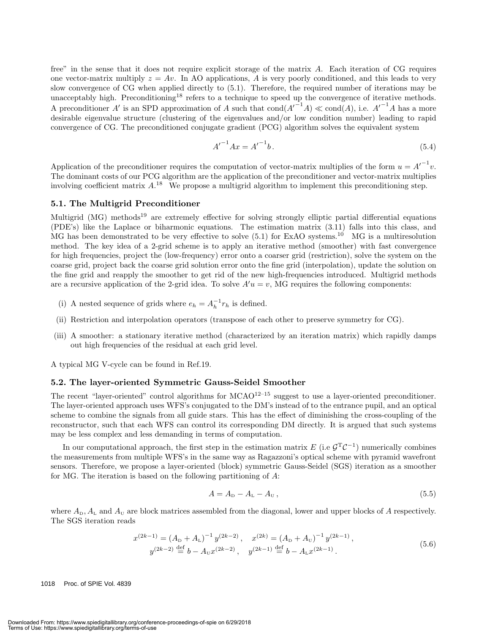free" in the sense that it does not require explicit storage of the matrix A. Each iteration of CG requires one vector-matrix multiply  $z = Av$ . In AO applications, A is very poorly conditioned, and this leads to very slow convergence of CG when applied directly to (5.1). Therefore, the required number of iterations may be unacceptably high. Preconditioning<sup>18</sup> refers to a technique to speed up the convergence of iterative methods. A preconditioner A' is an SPD approximation of A such that  $\text{cond}(A^{r-1}A) \ll \text{cond}(A)$ , i.e.  $A^{r-1}A$  has a more desirable eigenvalue structure (clustering of the eigenvalues and/or low condition number) leading to rapid convergence of CG.The preconditioned conjugate gradient (PCG) algorithm solves the equivalent system

$$
{A'}^{-1}Ax = {A'}^{-1}b.
$$
 (5.4)

Application of the preconditioner requires the computation of vector-matrix multiplies of the form  $u = A^{-1}v$ . The dominant costs of our PCG algorithm are the application of the preconditioner and vector-matrix multiplies involving coefficient matrix  $A^{18}$ . We propose a multigrid algorithm to implement this preconditioning step.

#### **5.1. The Multigrid Preconditioner**

Multigrid (MG) methods<sup>19</sup> are extremely effective for solving strongly elliptic partial differential equations  $(PDE's)$  like the Laplace or biharmonic equations. The estimation matrix  $(3.11)$  falls into this class, and MG has been demonstrated to be very effective to solve  $(5.1)$  for ExAO systems.<sup>10</sup> MG is a multiresolution method.The key idea of a 2-grid scheme is to apply an iterative method (smoother) with fast convergence for high frequencies, project the (low-frequency) error onto a coarser grid (restriction), solve the system on the coarse grid, project back the coarse grid solution error onto the fine grid (interpolation), update the solution on the fine grid and reapply the smoother to get rid of the new high-frequencies introduced. Multigrid methods are a recursive application of the 2-grid idea. To solve  $A'u = v$ , MG requires the following components:

- (i) A nested sequence of grids where  $e_h = A_h^{-1} r_h$  is defined.
- (ii) Restriction and interpolation operators (transpose of each other to preserve symmetry for CG).
- (iii) A smoother: a stationary iterative method (characterized by an iteration matrix) which rapidly damps out high frequencies of the residual at each grid level.

A typical MG V-cycle can be found in Ref.19.

#### **5.2. The layer-oriented Symmetric Gauss-Seidel Smoother**

The recent "layer-oriented" control algorithms for  $MCAO<sup>12–15</sup>$  suggest to use a layer-oriented preconditioner. The layer-oriented approach uses WFS's conjugated to the DM's instead of to the entrance pupil, and an optical scheme to combine the signals from all guide stars. This has the effect of diminishing the cross-coupling of the reconstructor, such that each WFS can control its corresponding DM directly. It is argued that such systems may be less complex and less demanding in terms of computation.

In our computational approach, the first step in the estimation matrix E (i.e  $G<sup>T</sup>C<sup>-1</sup>$ ) numerically combines the measurements from multiple WFS's in the same way as Ragazzoni's optical scheme with pyramid wavefront sensors.Therefore, we propose a layer-oriented (block) symmetric Gauss-Seidel (SGS) iteration as a smoother for MG. The iteration is based on the following partitioning of  $A$ :

$$
A = AD - AL - AU, \t\t(5.5)
$$

where  $A_{\text{D}}$ ,  $A_{\text{L}}$  and  $A_{\text{U}}$  are block matrices assembled from the diagonal, lower and upper blocks of A respectively. The SGS iteration reads

$$
x^{(2k-1)} = (A_{\rm D} + A_{\rm L})^{-1} y^{(2k-2)}, \quad x^{(2k)} = (A_{\rm D} + A_{\rm U})^{-1} y^{(2k-1)},
$$
  
\n
$$
y^{(2k-2)} \stackrel{\text{def}}{=} b - A_{\rm U} x^{(2k-2)}, \quad y^{(2k-1)} \stackrel{\text{def}}{=} b - A_{\rm L} x^{(2k-1)}.
$$
\n(5.6)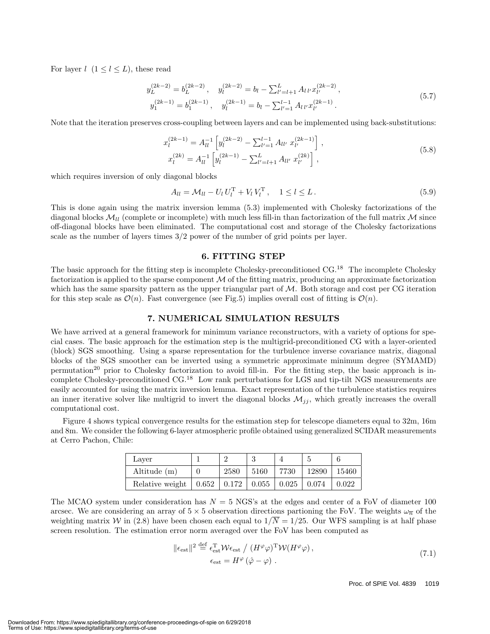For layer  $l \ (1 \leq l \leq L)$ , these read

$$
y_L^{(2k-2)} = b_L^{(2k-2)}, \t y_l^{(2k-2)} = b_l - \sum_{l'=l+1}^L A_{l\,l'} x_{l'}^{(2k-2)},
$$
  

$$
y_1^{(2k-1)} = b_1^{(2k-1)}, \t y_l^{(2k-1)} = b_l - \sum_{l'=1}^{l-1} A_{l\,l'} x_{l'}^{(2k-1)}.
$$
 (5.7)

Note that the iteration preserves cross-coupling between layers and can be implemented using back-substitutions:

$$
x_l^{(2k-1)} = A_{ll}^{-1} \left[ y_l^{(2k-2)} - \sum_{l'=1}^{l-1} A_{ll'} x_{l'}^{(2k-1)} \right],
$$
  
\n
$$
x_l^{(2k)} = A_{ll}^{-1} \left[ y_l^{(2k-1)} - \sum_{l'=l+1}^{L} A_{ll'} x_{l'}^{(2k)} \right],
$$
\n(5.8)

which requires inversion of only diagonal blocks

$$
A_{ll} = \mathcal{M}_{ll} - U_l U_l^{\mathrm{T}} + V_l V_l^{\mathrm{T}}, \quad 1 \le l \le L. \tag{5.9}
$$

This is done again using the matrix inversion lemma (5.3) implemented with Cholesky factorizations of the diagonal blocks  $\mathcal{M}_l$  (complete or incomplete) with much less fill-in than factorization of the full matrix M since off-diagonal blocks have been eliminated.The computational cost and storage of the Cholesky factorizations scale as the number of layers times 3/2 power of the number of grid points per layer.

#### **6. FITTING STEP**

The basic approach for the fitting step is incomplete Cholesky-preconditioned CG.<sup>18</sup> The incomplete Cholesky factorization is applied to the sparse component  $M$  of the fitting matrix, producing an approximate factorization which has the same sparsity pattern as the upper triangular part of  $M$ . Both storage and cost per CG iteration for this step scale as  $\mathcal{O}(n)$ . Fast convergence (see Fig.5) implies overall cost of fitting is  $\mathcal{O}(n)$ .

#### **7. NUMERICAL SIMULATION RESULTS**

We have arrived at a general framework for minimum variance reconstructors, with a variety of options for special cases.The basic approach for the estimation step is the multigrid-preconditioned CG with a layer-oriented (block) SGS smoothing.Using a sparse representation for the turbulence inverse covariance matrix, diagonal blocks of the SGS smoother can be inverted using a symmetric approximate minimum degree (SYMAMD) permutation<sup>20</sup> prior to Cholesky factorization to avoid fill-in. For the fitting step, the basic approach is incomplete Cholesky-preconditioned CG.<sup>18</sup> Low rank perturbations for LGS and tip-tilt NGS measurements are easily accounted for using the matrix inversion lemma.Exact representation of the turbulence statistics requires an inner iterative solver like multigrid to invert the diagonal blocks  $\mathcal{M}_{ij}$ , which greatly increases the overall computational cost.

Figure 4 shows typical convergence results for the estimation step for telescope diameters equal to 32m, 16m and 8m.We consider the following 6-layer atmospheric profile obtained using generalized SCIDAR measurements at Cerro Pachon, Chile:

| Laver           |                             |      |       |       |       |
|-----------------|-----------------------------|------|-------|-------|-------|
| Altitude $(m)$  | 2580                        | 5160 | 7730  | 12890 | 15460 |
| Relative weight | $0.652$   $0.172$   $0.055$ |      | 0.025 | 0.074 | 0.022 |

The MCAO system under consideration has  $N = 5$  NGS's at the edges and center of a FoV of diameter 100 arcsec. We are considering an array of  $5 \times 5$  observation directions partioning the FoV. The weights  $\omega_{\overline{n}}$  of the weighting matrix W in (2.8) have been chosen each equal to  $1/\overline{N} = 1/25$ . Our WFS sampling is at half phase screen resolution. The estimation error norm averaged over the FoV has been computed as

$$
\|\epsilon_{\text{est}}\|^2 \stackrel{\text{def}}{=} \epsilon_{\text{est}}^{\text{T}} \mathcal{W}\epsilon_{\text{est}} / (H^{\varphi}\varphi)^{\text{T}} \mathcal{W}(H^{\varphi}\varphi),
$$
  

$$
\epsilon_{\text{est}} = H^{\varphi}(\hat{\varphi} - \varphi).
$$
 (7.1)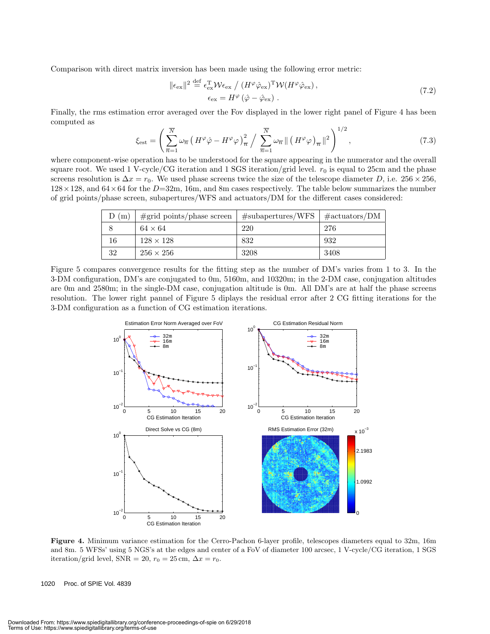Comparison with direct matrix inversion has been made using the following error metric:

$$
\|\epsilon_{\text{ex}}\|^2 \stackrel{\text{def}}{=} \epsilon_{\text{ex}}^{\text{T}} \mathcal{W}\epsilon_{\text{ex}} / (H^{\varphi}\hat{\varphi}_{\text{ex}})^{\text{T}} \mathcal{W}(H^{\varphi}\hat{\varphi}_{\text{ex}}),
$$
  

$$
\epsilon_{\text{ex}} = H^{\varphi}\left(\hat{\varphi} - \hat{\varphi}_{\text{ex}}\right).
$$
 (7.2)

Finally, the rms estimation error averaged over the Fov displayed in the lower right panel of Figure 4 has been computed as

$$
\xi_{\text{est}} = \left(\sum_{\overline{n}=1}^{\overline{N}} \omega_{\overline{n}} \left(H^{\varphi}\hat{\varphi} - H^{\varphi}\varphi\right)_{\overline{n}}^{2} / \sum_{\overline{n}=1}^{\overline{N}} \omega_{\overline{n}} \left\| \left(H^{\varphi}\varphi\right)_{\overline{n}}\right\|^{2} \right)^{1/2},\tag{7.3}
$$
\nwhere component-wise operation has to be understood for the square appearing in the numerator and the overall

square root. We used 1 V-cycle/CG iteration and 1 SGS iteration/grid level.  $r_0$  is equal to 25cm and the phase screens resolution is  $\Delta x = r_0$ . We used phase screens twice the size of the telescope diameter D, i.e. 256 × 256,  $128 \times 128$ , and  $64 \times 64$  for the  $D=32$ m, 16m, and 8m cases respectively. The table below summarizes the number of grid points/phase screen, subapertures/WFS and actuators/DM for the different cases considered:

| (m) | $\#grid$ points/phase screen | #subapertures/WFS | $\# \text{actuators} / \text{DM}$ |
|-----|------------------------------|-------------------|-----------------------------------|
|     | $64 \times 64$               | 220               | 276                               |
| 16  | $128 \times 128$             | 832               | 932                               |
| 32  | $256 \times 256$             | 3208              | 3408                              |

Figure 5 compares convergence results for the fitting step as the number of DM's varies from 1 to 3. In the 3-DM configuration, DM's are conjugated to 0m, 5160m, and 10320m; in the 2-DM case, conjugation altitudes are 0m and 2580m; in the single-DM case, conjugation altitude is 0m.All DM's are at half the phase screens resolution.The lower right pannel of Figure 5 diplays the residual error after 2 CG fitting iterations for the 3-DM configuration as a function of CG estimation iterations.



**Figure 4.** Minimum variance estimation for the Cerro-Pachon 6-layer profile, telescopes diameters equal to 32m, 16m and 8m. 5 WFSs' using 5 NGS's at the edges and center of a FoV of diameter 100 arcsec, 1 V-cycle/CG iteration, 1 SGS iteration/grid level, SNR = 20,  $r_0 = 25$  cm,  $\Delta x = r_0$ .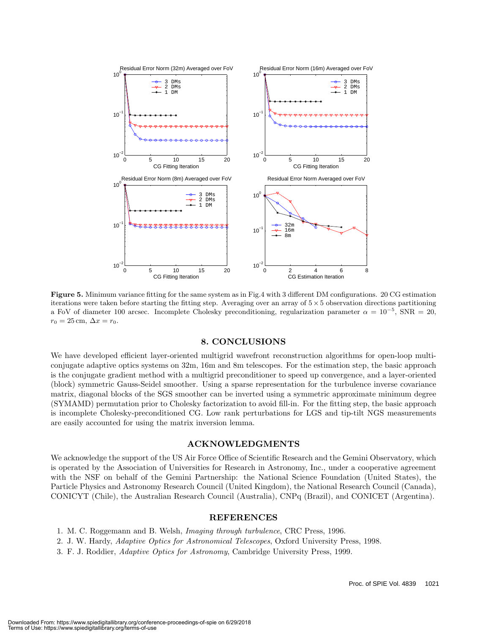

**Figure 5.** Minimum variance fitting for the same system as in Fig.4 with 3 different DM configurations. 20 CG estimation iterations were taken before starting the fitting step. Averaging over an array of  $5 \times 5$  observation directions partitioning a FoV of diameter 100 arcsec. Incomplete Cholesky preconditioning, regularization parameter  $\alpha = 10^{-5}$ , SNR = 20,  $r_0 = 25$  cm,  $\Delta x = r_0$ .

#### **8. CONCLUSIONS**

We have developed efficient layer-oriented multigrid wavefront reconstruction algorithms for open-loop multiconjugate adaptive optics systems on 32m, 16m and 8m telescopes.For the estimation step, the basic approach is the conjugate gradient method with a multigrid preconditioner to speed up convergence, and a layer-oriented (block) symmetric Gauss-Seidel smoother. Using a sparse representation for the turbulence inverse covariance matrix, diagonal blocks of the SGS smoother can be inverted using a symmetric approximate minimum degree (SYMAMD) permutation prior to Cholesky factorization to avoid fill-in. For the fitting step, the basic approach is incomplete Cholesky-preconditioned CG.Low rank perturbations for LGS and tip-tilt NGS measurements are easily accounted for using the matrix inversion lemma.

#### **ACKNOWLEDGMENTS**

We acknowledge the support of the US Air Force Office of Scientific Research and the Gemini Observatory, which is operated by the Association of Universities for Research in Astronomy, Inc., under a cooperative agreement with the NSF on behalf of the Gemini Partnership: the National Science Foundation (United States), the Particle Physics and Astronomy Research Council (United Kingdom), the National Research Council (Canada), CONICYT (Chile), the Australian Research Council (Australia), CNPq (Brazil), and CONICET (Argentina).

#### **REFERENCES**

- 1. M.C.Roggemann and B.Welsh, *Imaging through turbulence*, CRC Press, 1996.
- 2.J.W.Hardy, *Adaptive Optics for Astronomical Telescopes*, Oxford University Press, 1998.
- 3.F.J.Roddier, *Adaptive Optics for Astronomy*, Cambridge University Press, 1999.